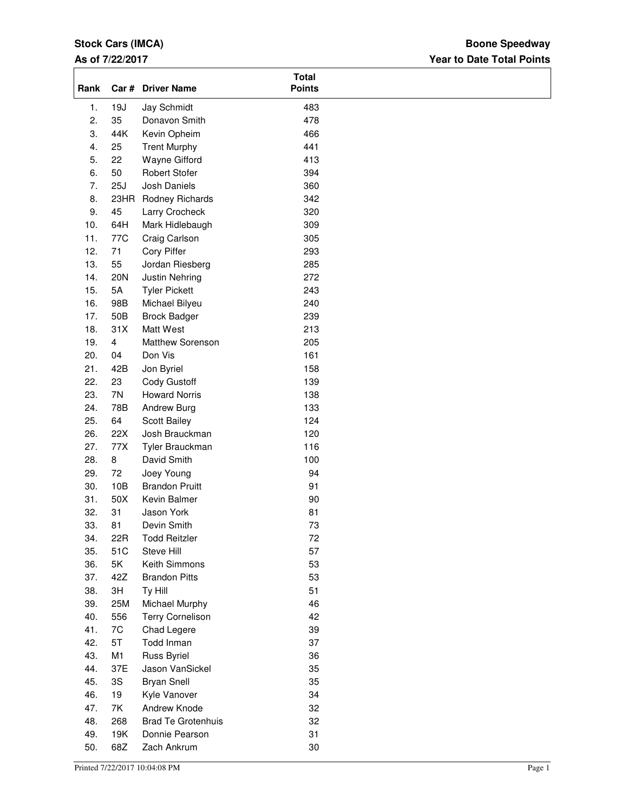# **Stock Cars (IMCA)**

### **As of 7/22/2017**

# **Year to Date Total Points Boone Speedway**

| Rank             |                | Car # Driver Name         | <b>Total</b><br><b>Points</b> |
|------------------|----------------|---------------------------|-------------------------------|
| 1.               | 19J            | Jay Schmidt               | 483                           |
| 2.               | 35             | Donavon Smith             | 478                           |
| 3.               | 44K            | Kevin Opheim              | 466                           |
| $\overline{4}$ . | 25             | <b>Trent Murphy</b>       | 441                           |
| 5.               | 22             | Wayne Gifford             | 413                           |
| 6.               | 50             | <b>Robert Stofer</b>      | 394                           |
| 7.               | 25J            | Josh Daniels              | 360                           |
| 8.               | 23HR           | Rodney Richards           | 342                           |
| 9.               | 45             | Larry Crocheck            | 320                           |
| 10.              | 64H            | Mark Hidlebaugh           | 309                           |
| 11.              | 77C            | Craig Carlson             | 305                           |
| 12.              | 71             | Cory Piffer               | 293                           |
| 13.              | 55             | Jordan Riesberg           | 285                           |
| 14.              | 20N            | Justin Nehring            | 272                           |
| 15.              | 5A             | <b>Tyler Pickett</b>      | 243                           |
| 16.              | 98B            | Michael Bilyeu            | 240                           |
| 17.              | 50B            | <b>Brock Badger</b>       | 239                           |
| 18.              | 31X            | Matt West                 | 213                           |
| 19.              | $\overline{4}$ | Matthew Sorenson          | 205                           |
| 20.              | 04             | Don Vis                   | 161                           |
| 21.              | 42B            | Jon Byriel                | 158                           |
| 22.              | 23             | Cody Gustoff              | 139                           |
| 23.              | 7N             | <b>Howard Norris</b>      | 138                           |
| 24.              | 78B            | Andrew Burg               | 133                           |
| 25.              | 64             | Scott Bailey              | 124                           |
| 26.              | 22X            | Josh Brauckman            | 120                           |
| 27.              | 77X            | Tyler Brauckman           | 116                           |
| 28.              | 8              | David Smith               | 100                           |
|                  | 72             |                           | 94                            |
| 29.              |                | Joey Young                |                               |
| 30.              | 10B            | <b>Brandon Pruitt</b>     | 91                            |
| 31.              | 50X            | Kevin Balmer              | 90                            |
| 32.              | 31             | Jason York                | 81                            |
| 33.              | 81             | Devin Smith               | 73                            |
| 34.              | 22R            | <b>Todd Reitzler</b>      | 72                            |
| 35.              | 51C            | Steve Hill                | 57                            |
| 36.              | 5K             | Keith Simmons             | 53                            |
| 37.              | 42Z            | <b>Brandon Pitts</b>      | 53                            |
| 38.              | 3H             | Ty Hill                   | 51                            |
| 39.              | 25M            | Michael Murphy            | 46                            |
| 40.              | 556            | <b>Terry Cornelison</b>   | 42                            |
| 41.              | 7C             | Chad Legere               | 39                            |
| 42.              | 5T             | Todd Inman                | 37                            |
| 43.              | M <sub>1</sub> | <b>Russ Byriel</b>        | 36                            |
| 44.              | 37E            | Jason VanSickel           | 35                            |
| 45.              | 3S             | <b>Bryan Snell</b>        | 35                            |
| 46.              | 19             | Kyle Vanover              | 34                            |
| 47.              | 7K             | Andrew Knode              | 32                            |
| 48.              | 268            | <b>Brad Te Grotenhuis</b> | 32                            |
| 49.              | 19K            | Donnie Pearson            | 31                            |
| 50.              | 68Z            | Zach Ankrum               | 30                            |